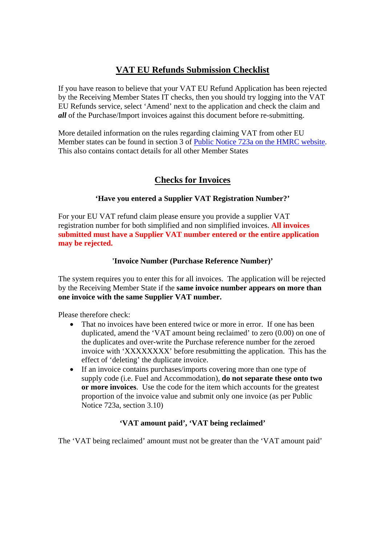# **VAT EU Refunds Submission Checklist**

If you have reason to believe that your VAT EU Refund Application has been rejected by the Receiving Member States IT checks, then you should try logging into the VAT EU Refunds service, select 'Amend' next to the application and check the claim and *all* of the Purchase/Import invoices against this document before re-submitting.

More detailed information on the rules regarding claiming VAT from other EU Member states can be found in section 3 of Public Notice 723a on the HMRC website. This also contains contact details for all other Member States

# **Checks for Invoices**

### **'Have you entered a Supplier VAT Registration Number?'**

For your EU VAT refund claim please ensure you provide a supplier VAT registration number for both simplified and non simplified invoices. **All invoices submitted must have a Supplier VAT number entered or the entire application may be rejected.** 

#### **'Invoice Number (Purchase Reference Number)'**

The system requires you to enter this for all invoices. The application will be rejected by the Receiving Member State if the **same invoice number appears on more than one invoice with the same Supplier VAT number.** 

Please therefore check:

- That no invoices have been entered twice or more in error. If one has been duplicated, amend the 'VAT amount being reclaimed' to zero (0.00) on one of the duplicates and over-write the Purchase reference number for the zeroed invoice with 'XXXXXXXX' before resubmitting the application. This has the effect of 'deleting' the duplicate invoice.
- If an invoice contains purchases/imports covering more than one type of supply code (i.e. Fuel and Accommodation), **do not separate these onto two or more invoices**. Use the code for the item which accounts for the greatest proportion of the invoice value and submit only one invoice (as per Public Notice 723a, section 3.10)

### **'VAT amount paid', 'VAT being reclaimed'**

The 'VAT being reclaimed' amount must not be greater than the 'VAT amount paid'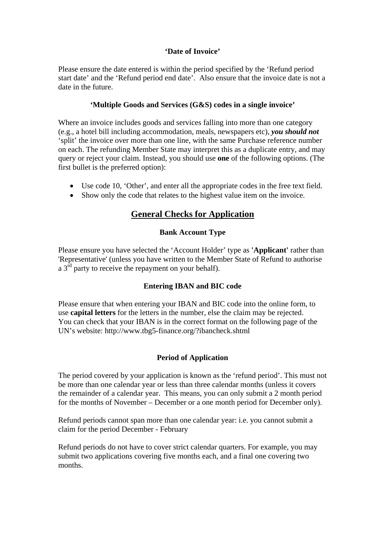### **'Date of Invoice'**

Please ensure the date entered is within the period specified by the 'Refund period start date' and the 'Refund period end date'. Also ensure that the invoice date is not a date in the future.

#### **'Multiple Goods and Services (G&S) codes in a single invoice'**

Where an invoice includes goods and services falling into more than one category (e.g., a hotel bill including accommodation, meals, newspapers etc), *you should not* 'split' the invoice over more than one line, with the same Purchase reference number on each. The refunding Member State may interpret this as a duplicate entry, and may query or reject your claim. Instead, you should use **one** of the following options. (The first bullet is the preferred option):

- Use code 10, 'Other', and enter all the appropriate codes in the free text field.
- Show only the code that relates to the highest value item on the invoice.

## **General Checks for Application**

#### **Bank Account Type**

Please ensure you have selected the 'Account Holder' type as **'Applicant'** rather than 'Representative' (unless you have written to the Member State of Refund to authorise a  $3<sup>rd</sup>$  party to receive the repayment on your behalf).

### **Entering IBAN and BIC code**

Please ensure that when entering your IBAN and BIC code into the online form, to use **capital letters** for the letters in the number, else the claim may be rejected. You can check that your IBAN is in the correct format on the following page of the UN's website: http://www.tbg5-finance.org/?ibancheck.shtml

### **Period of Application**

The period covered by your application is known as the 'refund period'. This must not be more than one calendar year or less than three calendar months (unless it covers the remainder of a calendar year. This means, you can only submit a 2 month period for the months of November – December or a one month period for December only).

Refund periods cannot span more than one calendar year: i.e. you cannot submit a claim for the period December - February

Refund periods do not have to cover strict calendar quarters. For example, you may submit two applications covering five months each, and a final one covering two months.